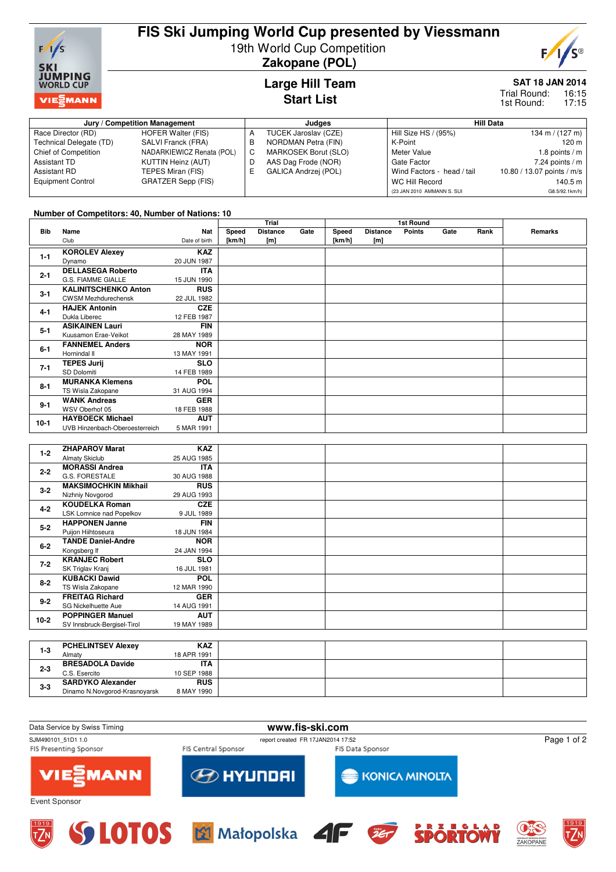

# **FIS Ski Jumping World Cup presented by Viessmann** 19th World Cup Competition



**Zakopane (POL)**

### **Large Hill Team Start List**

## **SAT 18 JAN 2014**

16:15 17:15 Trial Round: 1st Round:

| Jury / Competition Management |                           |    | Judaes               | <b>Hill Data</b>           |                            |  |
|-------------------------------|---------------------------|----|----------------------|----------------------------|----------------------------|--|
| Race Director (RD)            | HOFER Walter (FIS)        | А  | TUCEK Jaroslav (CZE) | Hill Size HS / (95%)       | 134 m / $(127 m)$          |  |
| Technical Delegate (TD)       | SALVI Franck (FRA)        | в  | NORDMAN Petra (FIN)  | K-Point                    | 120 <sub>m</sub>           |  |
| Chief of Competition          | NADARKIEWICZ Renata (POL) | C  | MARKOSEK Borut (SLO) | Meter Value                | 1.8 points $/m$            |  |
| Assistant TD                  | KUTTIN Heinz (AUT)        | D  | AAS Dag Frode (NOR)  | Gate Factor                | 7.24 points $/m$           |  |
| Assistant RD                  | TEPES Miran (FIS)         | E. | GALICA Andrzej (POL) | Wind Factors - head / tail | 10.80 / 13.07 points / m/s |  |
| <b>Equipment Control</b>      | GRATZER Sepp (FIS)        |    |                      | WC Hill Record             | 140.5 m                    |  |
|                               |                           |    |                      | (23 JAN 2010 AMMANN S. SUI | G8.5/92.1km/h)             |  |

#### **Number of Competitors: 40, Number of Nations: 10**

|            |                                |               |        | Trial<br>1st Round |      |        |                 |        |      |      |         |
|------------|--------------------------------|---------------|--------|--------------------|------|--------|-----------------|--------|------|------|---------|
| <b>Bib</b> | Name                           | Nat           | Speed  | <b>Distance</b>    | Gate | Speed  | <b>Distance</b> | Points | Gate | Rank | Remarks |
|            | Club                           | Date of birth | [km/h] | [m]                |      | [km/h] | [m]             |        |      |      |         |
|            | <b>KOROLEV Alexey</b>          | <b>KAZ</b>    |        |                    |      |        |                 |        |      |      |         |
| $1 - 1$    | Dynamo                         | 20 JUN 1987   |        |                    |      |        |                 |        |      |      |         |
| $2 - 1$    | <b>DELLASEGA Roberto</b>       | <b>ITA</b>    |        |                    |      |        |                 |        |      |      |         |
|            | G.S. FIAMME GIALLE             | 15 JUN 1990   |        |                    |      |        |                 |        |      |      |         |
| $3 - 1$    | <b>KALINITSCHENKO Anton</b>    | <b>RUS</b>    |        |                    |      |        |                 |        |      |      |         |
|            | <b>CWSM Mezhdurechensk</b>     | 22 JUL 1982   |        |                    |      |        |                 |        |      |      |         |
| $4 - 1$    | <b>HAJEK Antonin</b>           | <b>CZE</b>    |        |                    |      |        |                 |        |      |      |         |
|            | Dukla Liberec                  | 12 FEB 1987   |        |                    |      |        |                 |        |      |      |         |
| $5 - 1$    | <b>ASIKAINEN Lauri</b>         | <b>FIN</b>    |        |                    |      |        |                 |        |      |      |         |
|            | Kuusamon Erae-Veikot           | 28 MAY 1989   |        |                    |      |        |                 |        |      |      |         |
| $6 - 1$    | <b>FANNEMEL Anders</b>         | <b>NOR</b>    |        |                    |      |        |                 |        |      |      |         |
|            | Hornindal II                   | 13 MAY 1991   |        |                    |      |        |                 |        |      |      |         |
| $7 - 1$    | <b>TEPES Jurij</b>             | <b>SLO</b>    |        |                    |      |        |                 |        |      |      |         |
|            | SD Dolomiti                    | 14 FEB 1989   |        |                    |      |        |                 |        |      |      |         |
| $8 - 1$    | <b>MURANKA Klemens</b>         | <b>POL</b>    |        |                    |      |        |                 |        |      |      |         |
|            | TS Wisla Zakopane              | 31 AUG 1994   |        |                    |      |        |                 |        |      |      |         |
| $9 - 1$    | <b>WANK Andreas</b>            | <b>GER</b>    |        |                    |      |        |                 |        |      |      |         |
|            | WSV Oberhof 05                 | 18 FEB 1988   |        |                    |      |        |                 |        |      |      |         |
| $10-1$     | <b>HAYBOECK Michael</b>        | <b>AUT</b>    |        |                    |      |        |                 |        |      |      |         |
|            | UVB Hinzenbach-Oberoesterreich | 5 MAR 1991    |        |                    |      |        |                 |        |      |      |         |

| $1 - 2$ | <b>ZHAPAROV Marat</b>       | <b>KAZ</b>  |  |
|---------|-----------------------------|-------------|--|
|         | <b>Almaty Skiclub</b>       | 25 AUG 1985 |  |
| $2 - 2$ | <b>MORASSI Andrea</b>       | <b>ITA</b>  |  |
|         | G.S. FORESTALE              | 30 AUG 1988 |  |
| $3 - 2$ | <b>MAKSIMOCHKIN Mikhail</b> | <b>RUS</b>  |  |
|         | Nizhniy Novgorod            | 29 AUG 1993 |  |
| $4 - 2$ | <b>KOUDELKA Roman</b>       | <b>CZE</b>  |  |
|         | LSK Lomnice nad Popelkov    | 9 JUL 1989  |  |
| $5 - 2$ | <b>HAPPONEN Janne</b>       | <b>FIN</b>  |  |
|         | Puijon Hiihtoseura          | 18 JUN 1984 |  |
| $6-2$   | <b>TANDE Daniel-Andre</b>   | <b>NOR</b>  |  |
|         | Kongsberg If                | 24 JAN 1994 |  |
| $7 - 2$ | <b>KRANJEC Robert</b>       | <b>SLO</b>  |  |
|         | SK Triglav Kranj            | 16 JUL 1981 |  |
| $8 - 2$ | <b>KUBACKI Dawid</b>        | <b>POL</b>  |  |
|         | TS Wisla Zakopane           | 12 MAR 1990 |  |
| $9 - 2$ | <b>FREITAG Richard</b>      | <b>GER</b>  |  |
|         | SG Nickelhuette Aue         | 14 AUG 1991 |  |
| $10-2$  | <b>POPPINGER Manuel</b>     | <b>AUT</b>  |  |
|         | SV Innsbruck-Bergisel-Tirol | 19 MAY 1989 |  |
|         |                             |             |  |
|         | <b>PCHELINTSEV Alexey</b>   | <b>KAZ</b>  |  |
| $1 - 3$ | $A$ Les $A$ + $A$           | 10.1001001  |  |

| 1-3     | <b>PCHELINISEV AIEXEV</b>     | KAZ.        |  |  |
|---------|-------------------------------|-------------|--|--|
|         | Almaty                        | 18 APR 1991 |  |  |
| $2 - 3$ | <b>BRESADOLA Davide</b>       | <b>ITA</b>  |  |  |
|         | C.S. Esercito                 | 10 SEP 1988 |  |  |
| $3-3$   | <b>SARDYKO Alexander</b>      | <b>RUS</b>  |  |  |
|         | Dinamo N.Novgorod-Krasnovarsk | 8 MAY 1990  |  |  |
|         |                               |             |  |  |